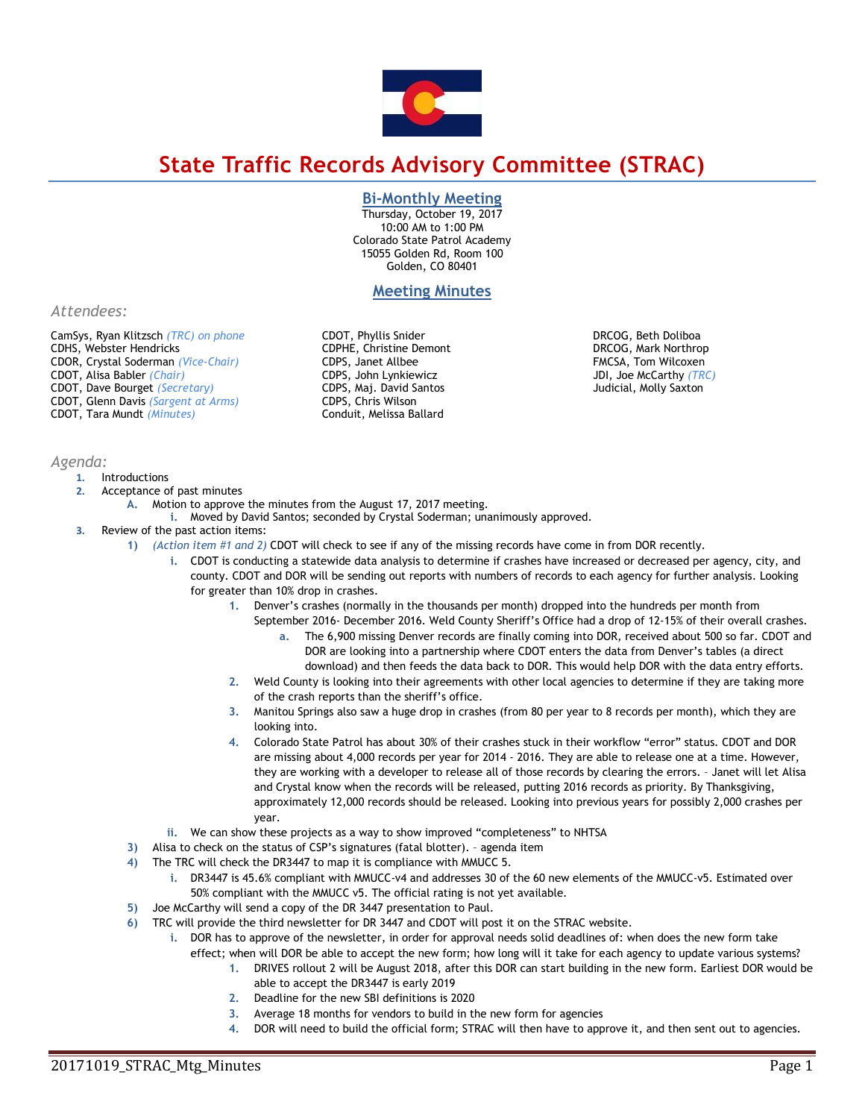

# **State Traffic Records Advisory Committee (STRAC)**

## **Bi-Monthly Meeting**

Thursday, October 19, 2017 10:00 AM to 1:00 PM Colorado State Patrol Academy 15055 Golden Rd, Room 100 Golden, CO 80401

# **Meeting Minutes**

*Attendees:*

CamSys, Ryan Klitzsch *(TRC) on phone*  CDHS, Webster Hendricks CDOR, Crystal Soderman *(Vice-Chair)* CDOT, Alisa Babler *(Chair)*  CDOT, Dave Bourget *(Secretary)*  CDOT, Glenn Davis *(Sargent at Arms)* CDOT, Tara Mundt *(Minutes)*

*Agenda:* 

#### **1.** Introductions

- **2.** Acceptance of past minutes
	- **A.** Motion to approve the minutes from the August 17, 2017 meeting.
	- **i.** Moved by David Santos; seconded by Crystal Soderman; unanimously approved.

CDOT, Phyllis Snider CDPHE, Christine Demont CDPS, Janet Allbee CDPS, John Lynkiewicz CDPS, Maj. David Santos CDPS, Chris Wilson Conduit, Melissa Ballard

- **3.** Review of the past action items:
	- **1)** *(Action item #1 and 2)* CDOT will check to see if any of the missing records have come in from DOR recently.
		- **i.** CDOT is conducting a statewide data analysis to determine if crashes have increased or decreased per agency, city, and county. CDOT and DOR will be sending out reports with numbers of records to each agency for further analysis. Looking for greater than 10% drop in crashes.
			- **1.** Denver's crashes (normally in the thousands per month) dropped into the hundreds per month from September 2016- December 2016. Weld County Sheriff's Office had a drop of 12-15% of their overall crashes.
				- **a.** The 6,900 missing Denver records are finally coming into DOR, received about 500 so far. CDOT and DOR are looking into a partnership where CDOT enters the data from Denver's tables (a direct
			- download) and then feeds the data back to DOR. This would help DOR with the data entry efforts. **2.** Weld County is looking into their agreements with other local agencies to determine if they are taking more of the crash reports than the sheriff's office.
			- **3.** Manitou Springs also saw a huge drop in crashes (from 80 per year to 8 records per month), which they are looking into.
			- **4.** Colorado State Patrol has about 30% of their crashes stuck in their workflow "error" status. CDOT and DOR are missing about 4,000 records per year for 2014 - 2016. They are able to release one at a time. However, they are working with a developer to release all of those records by clearing the errors. – Janet will let Alisa and Crystal know when the records will be released, putting 2016 records as priority. By Thanksgiving, approximately 12,000 records should be released. Looking into previous years for possibly 2,000 crashes per year.
		- **ii.** We can show these projects as a way to show improved "completeness" to NHTSA
	- **3)** Alisa to check on the status of CSP's signatures (fatal blotter). agenda item
	- **4)** The TRC will check the DR3447 to map it is compliance with MMUCC 5.
		- **i.** DR3447 is 45.6% compliant with MMUCC-v4 and addresses 30 of the 60 new elements of the MMUCC-v5. Estimated over 50% compliant with the MMUCC v5. The official rating is not yet available.
	- **5)** Joe McCarthy will send a copy of the DR 3447 presentation to Paul.
	- **6)** TRC will provide the third newsletter for DR 3447 and CDOT will post it on the STRAC website.
		- **i.** DOR has to approve of the newsletter, in order for approval needs solid deadlines of: when does the new form take effect; when will DOR be able to accept the new form; how long will it take for each agency to update various systems?
			- **1.** DRIVES rollout 2 will be August 2018, after this DOR can start building in the new form. Earliest DOR would be able to accept the DR3447 is early 2019
			- **2.** Deadline for the new SBI definitions is 2020
			- **3.** Average 18 months for vendors to build in the new form for agencies
			- **4.** DOR will need to build the official form; STRAC will then have to approve it, and then sent out to agencies.

DRCOG, Beth Doliboa DRCOG, Mark Northrop FMCSA, Tom Wilcoxen JDI, Joe McCarthy *(TRC)*  Judicial, Molly Saxton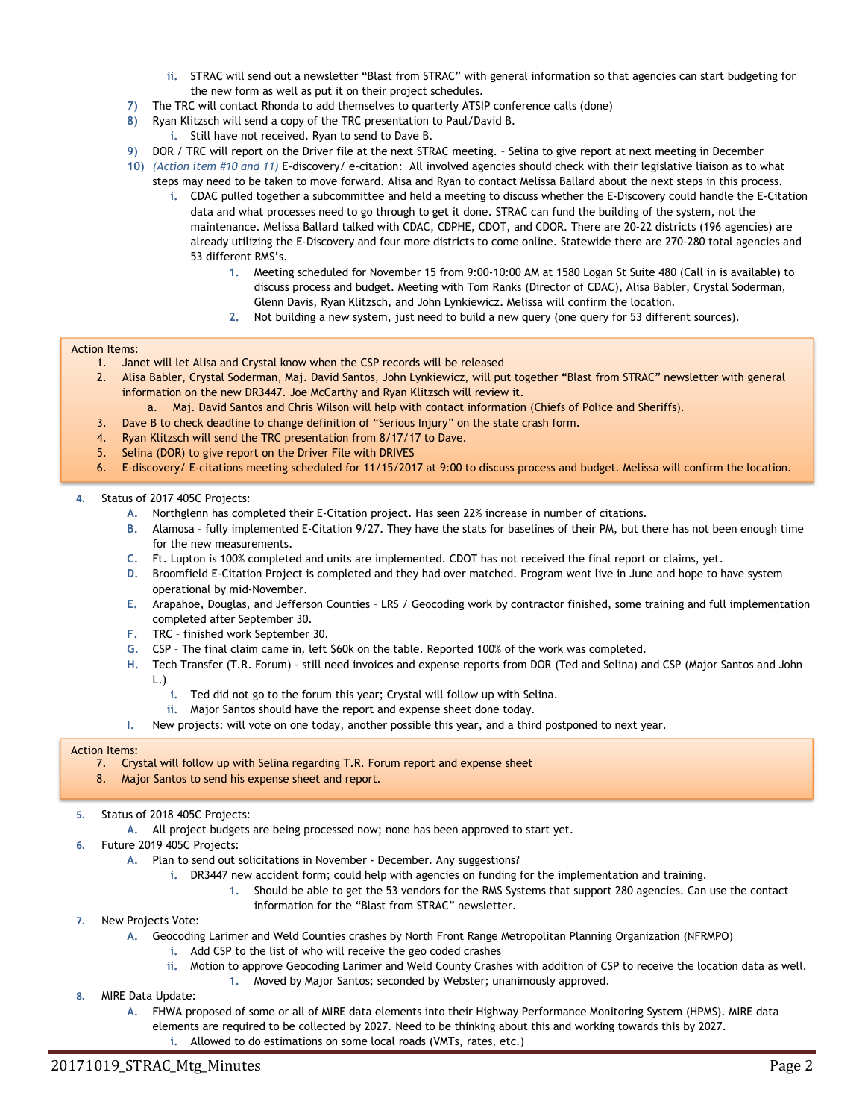- **ii.** STRAC will send out a newsletter "Blast from STRAC" with general information so that agencies can start budgeting for the new form as well as put it on their project schedules.
- **7)** The TRC will contact Rhonda to add themselves to quarterly ATSIP conference calls (done)
- **8)** Ryan Klitzsch will send a copy of the TRC presentation to Paul/David B.
	- **i.** Still have not received. Ryan to send to Dave B.
- **9)** DOR / TRC will report on the Driver file at the next STRAC meeting. Selina to give report at next meeting in December
- **10)** *(Action item #10 and 11)* E-discovery/ e-citation: All involved agencies should check with their legislative liaison as to what steps may need to be taken to move forward. Alisa and Ryan to contact Melissa Ballard about the next steps in this process.
	- **i.** CDAC pulled together a subcommittee and held a meeting to discuss whether the E-Discovery could handle the E-Citation data and what processes need to go through to get it done. STRAC can fund the building of the system, not the maintenance. Melissa Ballard talked with CDAC, CDPHE, CDOT, and CDOR. There are 20-22 districts (196 agencies) are already utilizing the E-Discovery and four more districts to come online. Statewide there are 270-280 total agencies and 53 different RMS's.
		- **1.** Meeting scheduled for November 15 from 9:00-10:00 AM at 1580 Logan St Suite 480 (Call in is available) to discuss process and budget. Meeting with Tom Ranks (Director of CDAC), Alisa Babler, Crystal Soderman, Glenn Davis, Ryan Klitzsch, and John Lynkiewicz. Melissa will confirm the location.
		- **2.** Not building a new system, just need to build a new query (one query for 53 different sources).

#### Action Items:

- 1. Janet will let Alisa and Crystal know when the CSP records will be released
- 2. Alisa Babler, Crystal Soderman, Maj. David Santos, John Lynkiewicz, will put together "Blast from STRAC" newsletter with general information on the new DR3447. Joe McCarthy and Ryan Klitzsch will review it.
	- a. Maj. David Santos and Chris Wilson will help with contact information (Chiefs of Police and Sheriffs).
- 3. Dave B to check deadline to change definition of "Serious Injury" on the state crash form.
- 4. Ryan Klitzsch will send the TRC presentation from 8/17/17 to Dave.
- 5. Selina (DOR) to give report on the Driver File with DRIVES
- 6. E-discovery/ E-citations meeting scheduled for 11/15/2017 at 9:00 to discuss process and budget. Melissa will confirm the location.

#### **4.** Status of 2017 405C Projects:

- **A.** Northglenn has completed their E-Citation project. Has seen 22% increase in number of citations.
- **B.** Alamosa fully implemented E-Citation 9/27. They have the stats for baselines of their PM, but there has not been enough time for the new measurements.
- **C.** Ft. Lupton is 100% completed and units are implemented. CDOT has not received the final report or claims, yet.
- **D.** Broomfield E-Citation Project is completed and they had over matched. Program went live in June and hope to have system operational by mid-November.
- **E.** Arapahoe, Douglas, and Jefferson Counties LRS / Geocoding work by contractor finished, some training and full implementation completed after September 30.
- **F.** TRC finished work September 30.
- **G.** CSP The final claim came in, left \$60k on the table. Reported 100% of the work was completed.
- **H.** Tech Transfer (T.R. Forum) still need invoices and expense reports from DOR (Ted and Selina) and CSP (Major Santos and John L.)
	- **i.** Ted did not go to the forum this year; Crystal will follow up with Selina.
	- **ii.** Major Santos should have the report and expense sheet done today.
- **I.** New projects: will vote on one today, another possible this year, and a third postponed to next year.

#### Action Items:

- 7. Crystal will follow up with Selina regarding T.R. Forum report and expense sheet
- 8. Major Santos to send his expense sheet and report.
- **5.** Status of 2018 405C Projects:
	- **A.** All project budgets are being processed now; none has been approved to start yet.
- **6.** Future 2019 405C Projects:
	- **A.** Plan to send out solicitations in November December. Any suggestions?
		- **i.** DR3447 new accident form; could help with agencies on funding for the implementation and training.
			- **1.** Should be able to get the 53 vendors for the RMS Systems that support 280 agencies. Can use the contact information for the "Blast from STRAC" newsletter.
- **7.** New Projects Vote:
	- **A.** Geocoding Larimer and Weld Counties crashes by North Front Range Metropolitan Planning Organization (NFRMPO)
		- **i.** Add CSP to the list of who will receive the geo coded crashes
			- **ii.** Motion to approve Geocoding Larimer and Weld County Crashes with addition of CSP to receive the location data as well. **1.** Moved by Major Santos; seconded by Webster; unanimously approved.
- **8.** MIRE Data Update:
	- **A.** FHWA proposed of some or all of MIRE data elements into their Highway Performance Monitoring System (HPMS). MIRE data
		- elements are required to be collected by 2027. Need to be thinking about this and working towards this by 2027.
		- **i.** Allowed to do estimations on some local roads (VMTs, rates, etc.)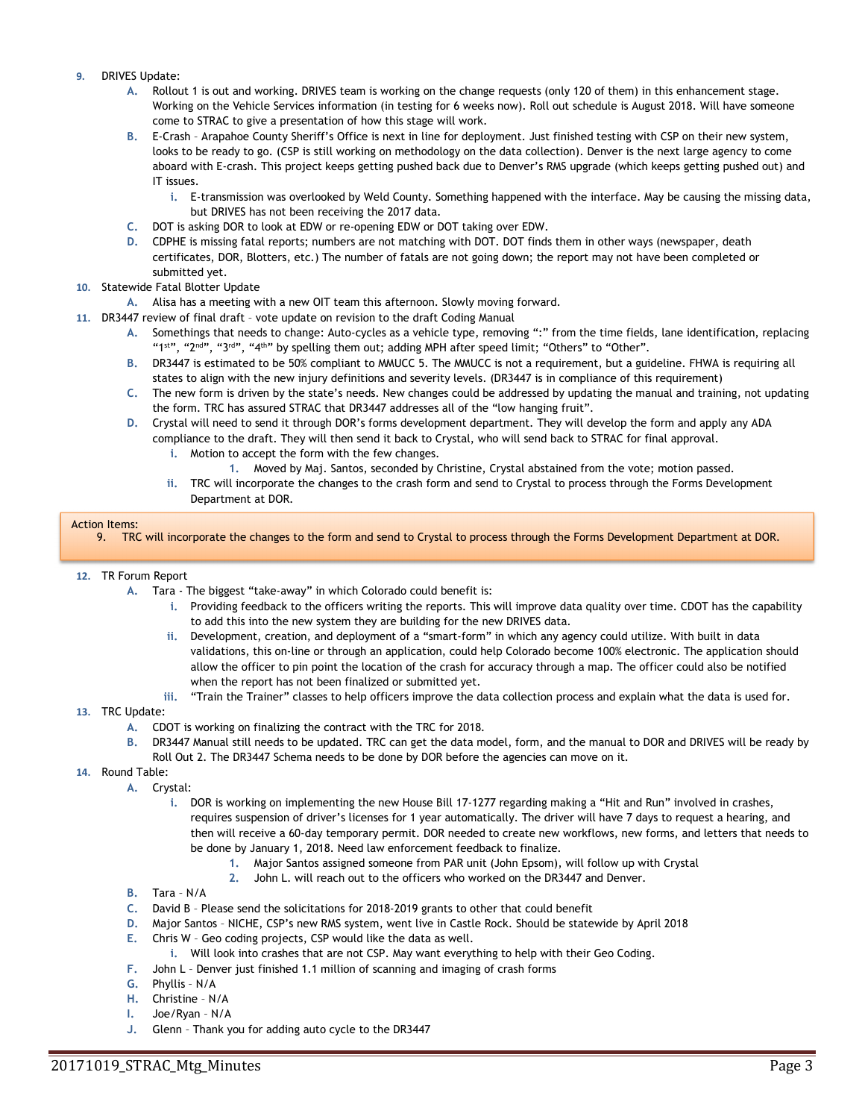- **9.** DRIVES Update:
	- **A.** Rollout 1 is out and working. DRIVES team is working on the change requests (only 120 of them) in this enhancement stage. Working on the Vehicle Services information (in testing for 6 weeks now). Roll out schedule is August 2018. Will have someone come to STRAC to give a presentation of how this stage will work.
	- **B.** E-Crash Arapahoe County Sheriff's Office is next in line for deployment. Just finished testing with CSP on their new system, looks to be ready to go. (CSP is still working on methodology on the data collection). Denver is the next large agency to come aboard with E-crash. This project keeps getting pushed back due to Denver's RMS upgrade (which keeps getting pushed out) and IT issues.
		- **i.** E-transmission was overlooked by Weld County. Something happened with the interface. May be causing the missing data, but DRIVES has not been receiving the 2017 data.
	- **C.** DOT is asking DOR to look at EDW or re-opening EDW or DOT taking over EDW.
	- **D.** CDPHE is missing fatal reports; numbers are not matching with DOT. DOT finds them in other ways (newspaper, death certificates, DOR, Blotters, etc.) The number of fatals are not going down; the report may not have been completed or submitted yet.
- **10.** Statewide Fatal Blotter Update
	- **A.** Alisa has a meeting with a new OIT team this afternoon. Slowly moving forward.
- **11.** DR3447 review of final draft vote update on revision to the draft Coding Manual
	- **A.** Somethings that needs to change: Auto-cycles as a vehicle type, removing ":" from the time fields, lane identification, replacing "1st", "2nd", "3<sup>rd"</sup>, "4<sup>th"</sup> by spelling them out; adding MPH after speed limit; "Others" to "Other".
	- **B.** DR3447 is estimated to be 50% compliant to MMUCC 5. The MMUCC is not a requirement, but a guideline. FHWA is requiring all states to align with the new injury definitions and severity levels. (DR3447 is in compliance of this requirement)
	- **C.** The new form is driven by the state's needs. New changes could be addressed by updating the manual and training, not updating the form. TRC has assured STRAC that DR3447 addresses all of the "low hanging fruit".
	- **D.** Crystal will need to send it through DOR's forms development department. They will develop the form and apply any ADA compliance to the draft. They will then send it back to Crystal, who will send back to STRAC for final approval.
		- **i.** Motion to accept the form with the few changes.
			- **1.** Moved by Maj. Santos, seconded by Christine, Crystal abstained from the vote; motion passed.
		- **ii.** TRC will incorporate the changes to the crash form and send to Crystal to process through the Forms Development Department at DOR.

#### Action Items:

9. TRC will incorporate the changes to the form and send to Crystal to process through the Forms Development Department at DOR.

#### **12.** TR Forum Report

- **A.** Tara The biggest "take-away" in which Colorado could benefit is:
	- **i.** Providing feedback to the officers writing the reports. This will improve data quality over time. CDOT has the capability to add this into the new system they are building for the new DRIVES data.
	- **ii.** Development, creation, and deployment of a "smart-form" in which any agency could utilize. With built in data validations, this on-line or through an application, could help Colorado become 100% electronic. The application should allow the officer to pin point the location of the crash for accuracy through a map. The officer could also be notified when the report has not been finalized or submitted yet.
	- **iii.** "Train the Trainer" classes to help officers improve the data collection process and explain what the data is used for.

#### **13.** TRC Update:

- **A.** CDOT is working on finalizing the contract with the TRC for 2018.
- **B.** DR3447 Manual still needs to be updated. TRC can get the data model, form, and the manual to DOR and DRIVES will be ready by Roll Out 2. The DR3447 Schema needs to be done by DOR before the agencies can move on it.
- **14.** Round Table:
	- **A.** Crystal:
		- **i.** DOR is working on implementing the new House Bill 17-1277 regarding making a "Hit and Run" involved in crashes, requires suspension of driver's licenses for 1 year automatically. The driver will have 7 days to request a hearing, and then will receive a 60-day temporary permit. DOR needed to create new workflows, new forms, and letters that needs to be done by January 1, 2018. Need law enforcement feedback to finalize.
			- **1.** Major Santos assigned someone from PAR unit (John Epsom), will follow up with Crystal
			- **2.** John L. will reach out to the officers who worked on the DR3447 and Denver.
		- **B.** Tara N/A
		- **C.** David B Please send the solicitations for 2018-2019 grants to other that could benefit
		- **D.** Major Santos NICHE, CSP's new RMS system, went live in Castle Rock. Should be statewide by April 2018
		- **E.** Chris W Geo coding projects, CSP would like the data as well.
			- **i.** Will look into crashes that are not CSP. May want everything to help with their Geo Coding.
		- **F.** John L Denver just finished 1.1 million of scanning and imaging of crash forms
		- **G.** Phyllis N/A
		- **H.** Christine N/A
		- **I.** Joe/Ryan N/A
		- **J.** Glenn Thank you for adding auto cycle to the DR3447